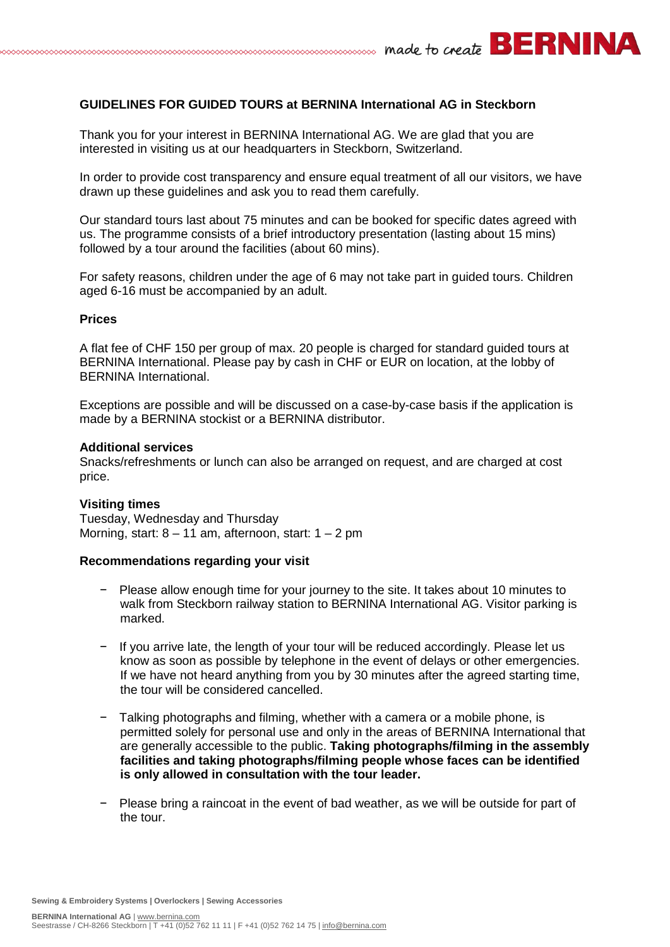# **GUIDELINES FOR GUIDED TOURS at BERNINA International AG in Steckborn**

Thank you for your interest in BERNINA International AG. We are glad that you are interested in visiting us at our headquarters in Steckborn, Switzerland.

In order to provide cost transparency and ensure equal treatment of all our visitors, we have drawn up these guidelines and ask you to read them carefully.

Our standard tours last about 75 minutes and can be booked for specific dates agreed with us. The programme consists of a brief introductory presentation (lasting about 15 mins) followed by a tour around the facilities (about 60 mins).

For safety reasons, children under the age of 6 may not take part in guided tours. Children aged 6-16 must be accompanied by an adult.

### **Prices**

A flat fee of CHF 150 per group of max. 20 people is charged for standard guided tours at BERNINA International. Please pay by cash in CHF or EUR on location, at the lobby of BERNINA International.

Exceptions are possible and will be discussed on a case-by-case basis if the application is made by a BERNINA stockist or a BERNINA distributor.

#### **Additional services**

Snacks/refreshments or lunch can also be arranged on request, and are charged at cost price.

#### **Visiting times**

Tuesday, Wednesday and Thursday Morning, start:  $8 - 11$  am, afternoon, start:  $1 - 2$  pm

## **Recommendations regarding your visit**

- − Please allow enough time for your journey to the site. It takes about 10 minutes to walk from Steckborn railway station to BERNINA International AG. Visitor parking is marked.
- − If you arrive late, the length of your tour will be reduced accordingly. Please let us know as soon as possible by telephone in the event of delays or other emergencies. If we have not heard anything from you by 30 minutes after the agreed starting time, the tour will be considered cancelled.
- − Talking photographs and filming, whether with a camera or a mobile phone, is permitted solely for personal use and only in the areas of BERNINA International that are generally accessible to the public. **Taking photographs/filming in the assembly facilities and taking photographs/filming people whose faces can be identified is only allowed in consultation with the tour leader.**
- Please bring a raincoat in the event of bad weather, as we will be outside for part of the tour.

**Sewing & Embroidery Systems | Overlockers | Sewing Accessories**